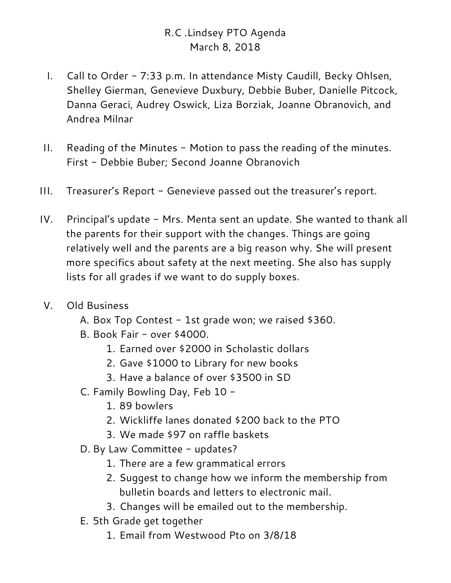## R.C .Lindsey PTO Agenda March 8, 2018

- I. Call to Order 7:33 p.m. In attendance Misty Caudill, Becky Ohlsen, Shelley Gierman, Genevieve Duxbury, Debbie Buber, Danielle Pitcock, Danna Geraci, Audrey Oswick, Liza Borziak, Joanne Obranovich, and Andrea Milnar
- II. Reading of the Minutes Motion to pass the reading of the minutes. First - Debbie Buber; Second Joanne Obranovich
- III. Treasurer's Report Genevieve passed out the treasurer's report.
- IV. Principal's update Mrs. Menta sent an update. She wanted to thank all the parents for their support with the changes. Things are going relatively well and the parents are a big reason why. She will present more specifics about safety at the next meeting. She also has supply lists for all grades if we want to do supply boxes.
- V. Old Business
	- A. Box Top Contest 1st grade won; we raised \$360.
	- B. Book Fair over \$4000.
		- 1. Earned over \$2000 in Scholastic dollars
		- 2. Gave \$1000 to Library for new books
		- 3. Have a balance of over \$3500 in SD
	- C. Family Bowling Day, Feb 10
		- 1. 89 bowlers
		- 2. Wickliffe lanes donated \$200 back to the PTO
		- 3. We made \$97 on raffle baskets
	- D. By Law Committee updates?
		- 1. There are a few grammatical errors
		- 2. Suggest to change how we inform the membership from bulletin boards and letters to electronic mail.
		- 3. Changes will be emailed out to the membership.
	- E. 5th Grade get together
		- 1. Email from Westwood Pto on 3/8/18